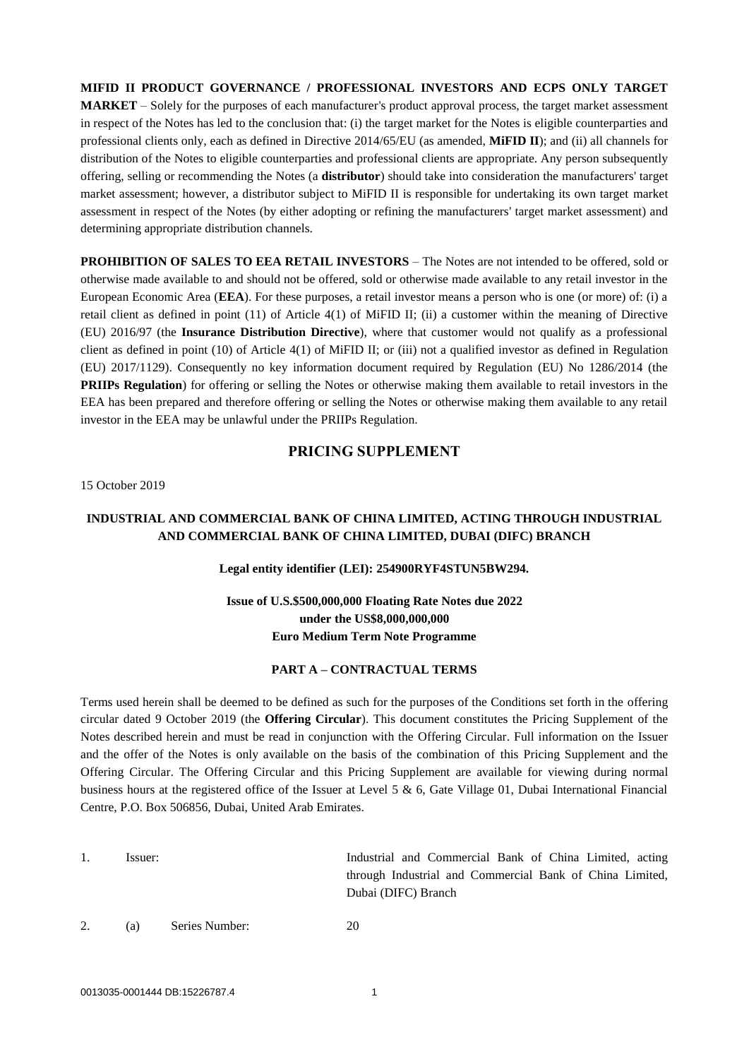**MIFID II PRODUCT GOVERNANCE / PROFESSIONAL INVESTORS AND ECPS ONLY TARGET MARKET** – Solely for the purposes of each manufacturer's product approval process, the target market assessment in respect of the Notes has led to the conclusion that: (i) the target market for the Notes is eligible counterparties and professional clients only, each as defined in Directive 2014/65/EU (as amended, **MiFID II**); and (ii) all channels for distribution of the Notes to eligible counterparties and professional clients are appropriate. Any person subsequently offering, selling or recommending the Notes (a **distributor**) should take into consideration the manufacturers' target market assessment; however, a distributor subject to MiFID II is responsible for undertaking its own target market assessment in respect of the Notes (by either adopting or refining the manufacturers' target market assessment) and determining appropriate distribution channels.

**PROHIBITION OF SALES TO EEA RETAIL INVESTORS** – The Notes are not intended to be offered, sold or otherwise made available to and should not be offered, sold or otherwise made available to any retail investor in the European Economic Area (**EEA**). For these purposes, a retail investor means a person who is one (or more) of: (i) a retail client as defined in point (11) of Article 4(1) of MiFID II; (ii) a customer within the meaning of Directive (EU) 2016/97 (the **Insurance Distribution Directive**), where that customer would not qualify as a professional client as defined in point (10) of Article 4(1) of MiFID II; or (iii) not a qualified investor as defined in Regulation (EU) 2017/1129). Consequently no key information document required by Regulation (EU) No 1286/2014 (the **PRIIPs Regulation**) for offering or selling the Notes or otherwise making them available to retail investors in the EEA has been prepared and therefore offering or selling the Notes or otherwise making them available to any retail investor in the EEA may be unlawful under the PRIIPs Regulation.

# **PRICING SUPPLEMENT**

15 October 2019

# **INDUSTRIAL AND COMMERCIAL BANK OF CHINA LIMITED, ACTING THROUGH INDUSTRIAL AND COMMERCIAL BANK OF CHINA LIMITED, DUBAI (DIFC) BRANCH**

## **Legal entity identifier (LEI): 254900RYF4STUN5BW294.**

# **Issue of U.S.\$500,000,000 Floating Rate Notes due 2022 under the US\$8,000,000,000 Euro Medium Term Note Programme**

## **PART A – CONTRACTUAL TERMS**

Terms used herein shall be deemed to be defined as such for the purposes of the Conditions set forth in the offering circular dated 9 October 2019 (the **Offering Circular**). This document constitutes the Pricing Supplement of the Notes described herein and must be read in conjunction with the Offering Circular. Full information on the Issuer and the offer of the Notes is only available on the basis of the combination of this Pricing Supplement and the Offering Circular. The Offering Circular and this Pricing Supplement are available for viewing during normal business hours at the registered office of the Issuer at Level 5 & 6, Gate Village 01, Dubai International Financial Centre, P.O. Box 506856, Dubai, United Arab Emirates.

1. Issuer: Industrial and Commercial Bank of China Limited, acting through Industrial and Commercial Bank of China Limited, Dubai (DIFC) Branch

2. (a) Series Number: 20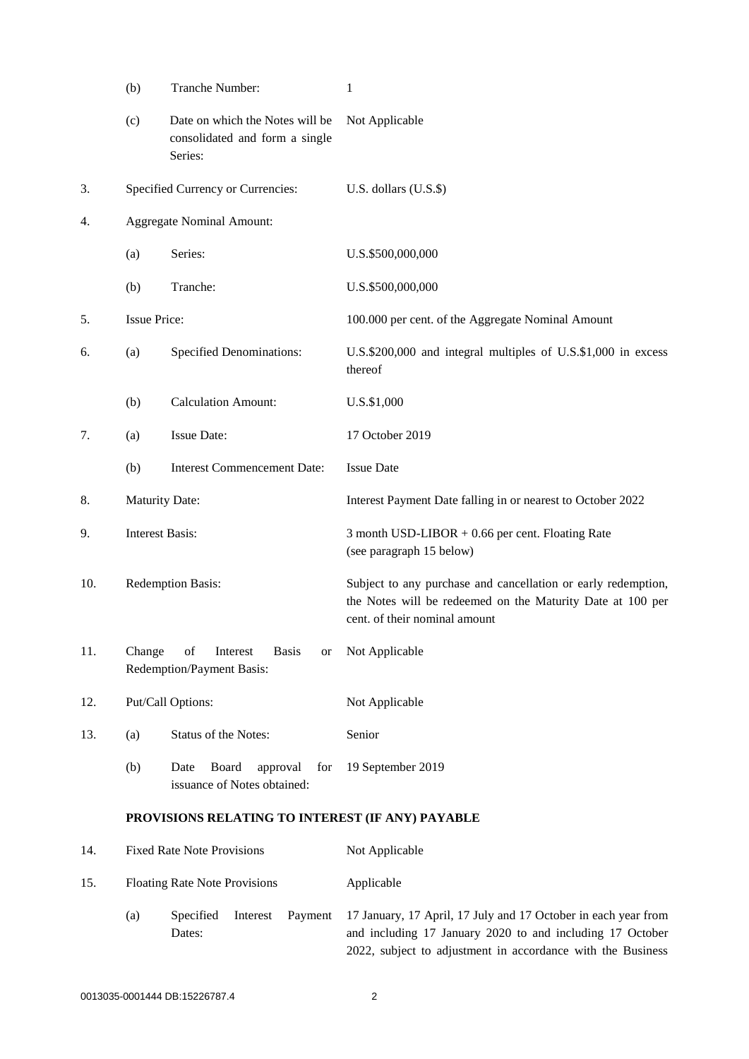<span id="page-1-0"></span>

|     | (b)                                                                                | Tranche Number:                                                              | 1                                                                                                                                                                                          |
|-----|------------------------------------------------------------------------------------|------------------------------------------------------------------------------|--------------------------------------------------------------------------------------------------------------------------------------------------------------------------------------------|
|     | (c)                                                                                | Date on which the Notes will be<br>consolidated and form a single<br>Series: | Not Applicable                                                                                                                                                                             |
| 3.  |                                                                                    | Specified Currency or Currencies:                                            | U.S. dollars $($ U.S. $$)$                                                                                                                                                                 |
| 4.  |                                                                                    | <b>Aggregate Nominal Amount:</b>                                             |                                                                                                                                                                                            |
|     | (a)                                                                                | Series:                                                                      | U.S.\$500,000,000                                                                                                                                                                          |
|     | (b)                                                                                | Tranche:                                                                     | U.S.\$500,000,000                                                                                                                                                                          |
| 5.  | <b>Issue Price:</b>                                                                |                                                                              | 100.000 per cent. of the Aggregate Nominal Amount                                                                                                                                          |
| 6.  | (a)                                                                                | <b>Specified Denominations:</b>                                              | U.S.\$200,000 and integral multiples of U.S.\$1,000 in excess<br>thereof                                                                                                                   |
|     | (b)                                                                                | <b>Calculation Amount:</b>                                                   | U.S.\$1,000                                                                                                                                                                                |
| 7.  | (a)                                                                                | <b>Issue Date:</b>                                                           | 17 October 2019                                                                                                                                                                            |
|     | (b)                                                                                | <b>Interest Commencement Date:</b>                                           | <b>Issue Date</b>                                                                                                                                                                          |
| 8.  | <b>Maturity Date:</b>                                                              |                                                                              | Interest Payment Date falling in or nearest to October 2022                                                                                                                                |
| 9.  | <b>Interest Basis:</b>                                                             |                                                                              | 3 month USD-LIBOR + 0.66 per cent. Floating Rate<br>(see paragraph 15 below)                                                                                                               |
| 10. | Redemption Basis:                                                                  |                                                                              | Subject to any purchase and cancellation or early redemption,<br>the Notes will be redeemed on the Maturity Date at 100 per<br>cent. of their nominal amount                               |
| 11. | Change<br>of<br>Interest<br><b>Basis</b><br><b>or</b><br>Redemption/Payment Basis: |                                                                              | Not Applicable                                                                                                                                                                             |
| 12. | Put/Call Options:                                                                  |                                                                              | Not Applicable                                                                                                                                                                             |
| 13. | (a)                                                                                | Status of the Notes:                                                         | Senior                                                                                                                                                                                     |
|     | (b)                                                                                | Date<br>Board<br>approval<br>for<br>issuance of Notes obtained:              | 19 September 2019                                                                                                                                                                          |
|     | PROVISIONS RELATING TO INTEREST (IF ANY) PAYABLE                                   |                                                                              |                                                                                                                                                                                            |
| 14. |                                                                                    | <b>Fixed Rate Note Provisions</b>                                            | Not Applicable                                                                                                                                                                             |
| 15. | <b>Floating Rate Note Provisions</b>                                               |                                                                              | Applicable                                                                                                                                                                                 |
|     | (a)                                                                                | Specified<br>Payment<br>Interest<br>Dates:                                   | 17 January, 17 April, 17 July and 17 October in each year from<br>and including 17 January 2020 to and including 17 October<br>2022, subject to adjustment in accordance with the Business |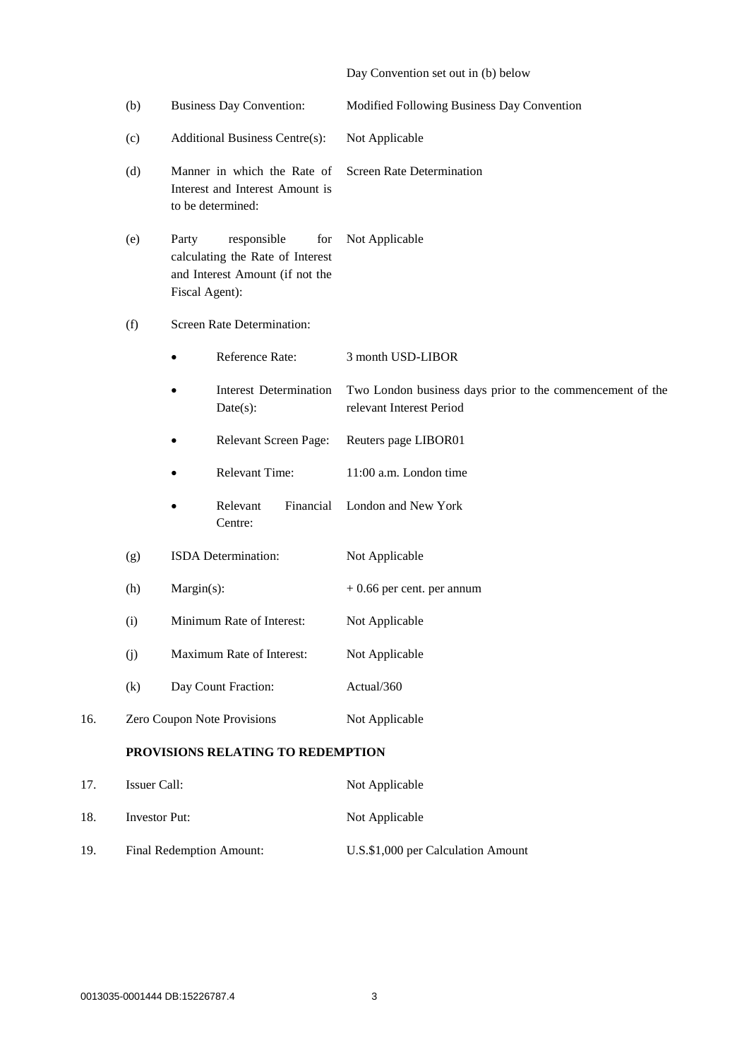# Day Convention set out in [\(b\) below](#page-2-0)

<span id="page-2-0"></span>

|     | (b)                                                      |                         | <b>Business Day Convention:</b>                                                           | Modified Following Business Day Convention                                            |
|-----|----------------------------------------------------------|-------------------------|-------------------------------------------------------------------------------------------|---------------------------------------------------------------------------------------|
|     | (c)                                                      |                         | Additional Business Centre(s):                                                            | Not Applicable                                                                        |
|     | (d)                                                      |                         | Manner in which the Rate of<br>Interest and Interest Amount is<br>to be determined:       | Screen Rate Determination                                                             |
|     | (e)                                                      | Party<br>Fiscal Agent): | responsible<br>for<br>calculating the Rate of Interest<br>and Interest Amount (if not the | Not Applicable                                                                        |
|     | Screen Rate Determination:<br>(f)                        |                         |                                                                                           |                                                                                       |
|     |                                                          |                         | Reference Rate:                                                                           | 3 month USD-LIBOR                                                                     |
|     |                                                          |                         | <b>Interest Determination</b><br>$Date(s)$ :                                              | Two London business days prior to the commencement of the<br>relevant Interest Period |
|     |                                                          |                         | Relevant Screen Page:                                                                     | Reuters page LIBOR01                                                                  |
|     |                                                          |                         | <b>Relevant Time:</b>                                                                     | 11:00 a.m. London time                                                                |
|     |                                                          |                         | Relevant<br>Financial<br>Centre:                                                          | London and New York                                                                   |
|     | (g)                                                      |                         | ISDA Determination:                                                                       | Not Applicable                                                                        |
|     | $Margin(s)$ :<br>(h)<br>Minimum Rate of Interest:<br>(i) |                         |                                                                                           | $+0.66$ per cent. per annum                                                           |
|     |                                                          |                         |                                                                                           | Not Applicable                                                                        |
|     | (j)                                                      |                         | Maximum Rate of Interest:                                                                 | Not Applicable                                                                        |
|     | (k)                                                      |                         | Day Count Fraction:                                                                       | Actual/360                                                                            |
| 16. |                                                          |                         | Zero Coupon Note Provisions                                                               | Not Applicable                                                                        |
|     | PROVISIONS RELATING TO REDEMPTION                        |                         |                                                                                           |                                                                                       |
| 17. |                                                          | Issuer Call:            |                                                                                           | Not Applicable                                                                        |
| 18. | <b>Investor Put:</b>                                     |                         |                                                                                           | Not Applicable                                                                        |
|     |                                                          |                         |                                                                                           |                                                                                       |

19. Final Redemption Amount: U.S.\$1,000 per Calculation Amount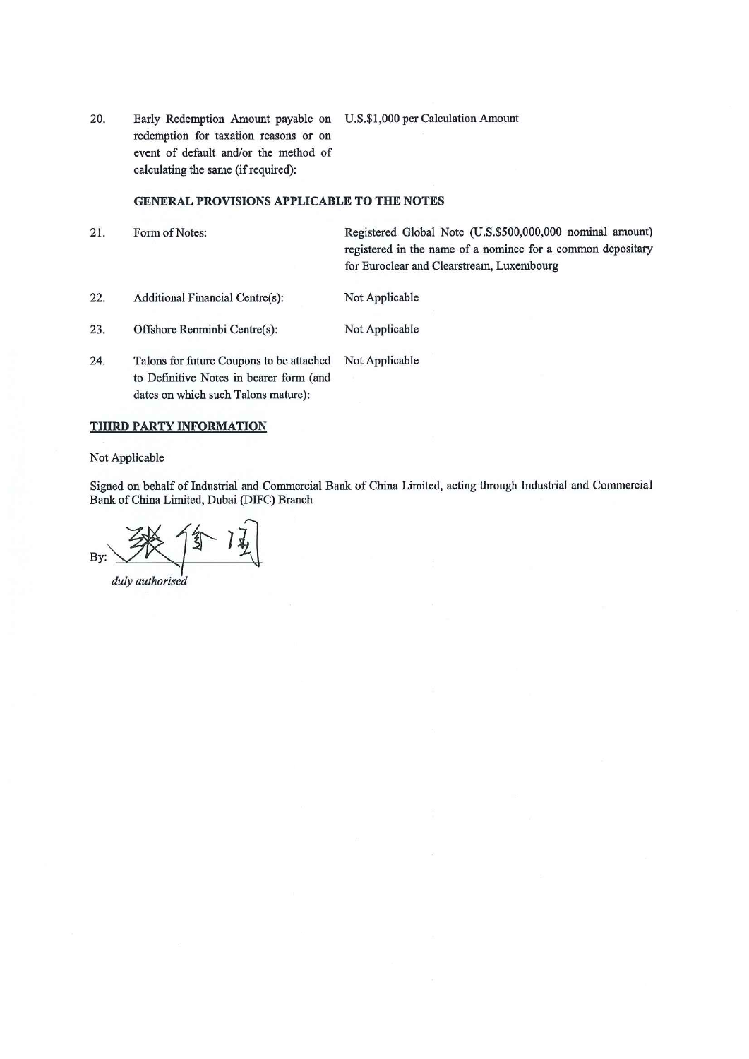20. Early Redemption Amount payable on U.S.\$1,000 per Calculation Amount redemption for taxation reasons or on event of default and/or the method of calculating the same (if required):

## **GENERAL PROVISIONS APPLICABLE TO THE NOTES**

- 21. Registered Global Note (U.S.\$500,000,000 nominal amount) Form of Notes: registered in the name of a nominee for a common depositary for Euroclear and Clearstream, Luxembourg
- $22.$ **Additional Financial Centre(s):** Not Applicable
- 23. Offshore Renminbi Centre(s): Not Applicable
- 24. Talons for future Coupons to be attached Not Applicable to Definitive Notes in bearer form (and dates on which such Talons mature):

#### **THIRD PARTY INFORMATION**

Not Applicable

Signed on behalf of Industrial and Commercial Bank of China Limited, acting through Industrial and Commercial Bank of China Limited, Dubai (DIFC) Branch

By:

duly authorised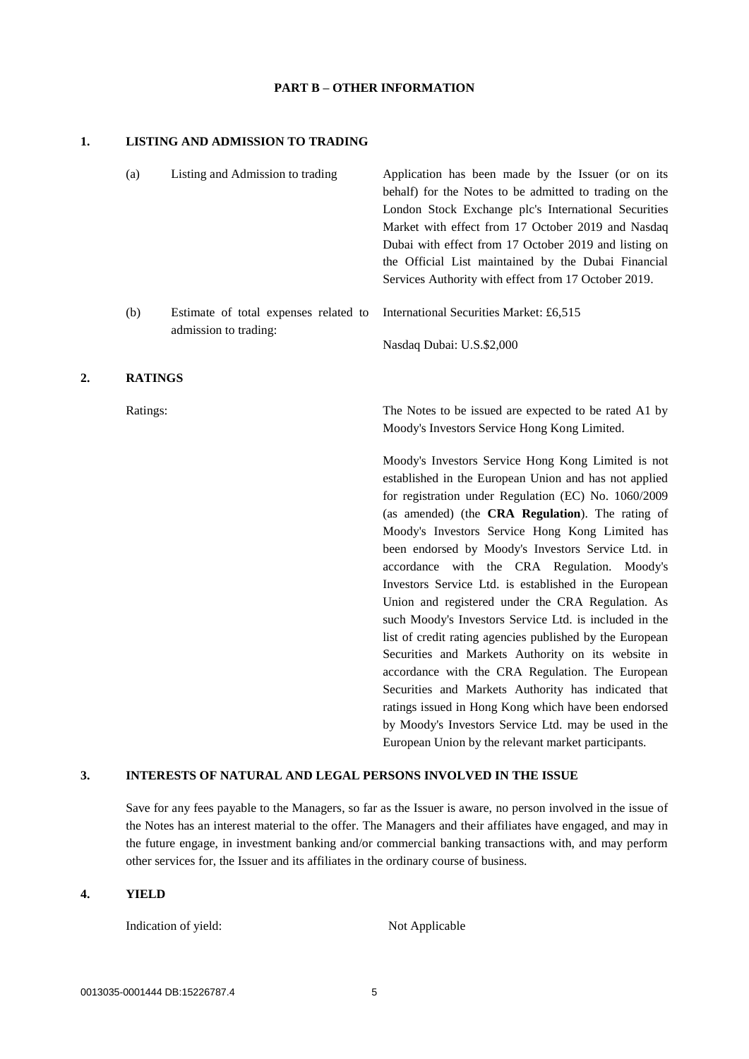### **PART B – OTHER INFORMATION**

#### **1. LISTING AND ADMISSION TO TRADING**

|    | (a)            | Listing and Admission to trading                               | Application has been made by the Issuer (or on its<br>behalf) for the Notes to be admitted to trading on the<br>London Stock Exchange plc's International Securities<br>Market with effect from 17 October 2019 and Nasdaq<br>Dubai with effect from 17 October 2019 and listing on<br>the Official List maintained by the Dubai Financial<br>Services Authority with effect from 17 October 2019.                                                                                                                                                                                                                                                                        |
|----|----------------|----------------------------------------------------------------|---------------------------------------------------------------------------------------------------------------------------------------------------------------------------------------------------------------------------------------------------------------------------------------------------------------------------------------------------------------------------------------------------------------------------------------------------------------------------------------------------------------------------------------------------------------------------------------------------------------------------------------------------------------------------|
|    | (b)            | Estimate of total expenses related to<br>admission to trading: | International Securities Market: £6,515                                                                                                                                                                                                                                                                                                                                                                                                                                                                                                                                                                                                                                   |
|    |                |                                                                | Nasdaq Dubai: U.S.\$2,000                                                                                                                                                                                                                                                                                                                                                                                                                                                                                                                                                                                                                                                 |
| 2. | <b>RATINGS</b> |                                                                |                                                                                                                                                                                                                                                                                                                                                                                                                                                                                                                                                                                                                                                                           |
|    | Ratings:       |                                                                | The Notes to be issued are expected to be rated A1 by<br>Moody's Investors Service Hong Kong Limited.                                                                                                                                                                                                                                                                                                                                                                                                                                                                                                                                                                     |
|    |                |                                                                | Moody's Investors Service Hong Kong Limited is not<br>established in the European Union and has not applied<br>for registration under Regulation (EC) No. 1060/2009<br>(as amended) (the CRA Regulation). The rating of<br>Moody's Investors Service Hong Kong Limited has<br>been endorsed by Moody's Investors Service Ltd. in<br>accordance with the CRA Regulation. Moody's<br>Investors Service Ltd. is established in the European<br>Union and registered under the CRA Regulation. As<br>such Moody's Investors Service Ltd. is included in the<br>list of credit rating agencies published by the European<br>Securities and Markets Authority on its website in |

## **3. INTERESTS OF NATURAL AND LEGAL PERSONS INVOLVED IN THE ISSUE**

Save for any fees payable to the Managers, so far as the Issuer is aware, no person involved in the issue of the Notes has an interest material to the offer. The Managers and their affiliates have engaged, and may in the future engage, in investment banking and/or commercial banking transactions with, and may perform other services for, the Issuer and its affiliates in the ordinary course of business.

#### **4. YIELD**

Indication of yield: Not Applicable

accordance with the CRA Regulation. The European Securities and Markets Authority has indicated that ratings issued in Hong Kong which have been endorsed by Moody's Investors Service Ltd. may be used in the European Union by the relevant market participants.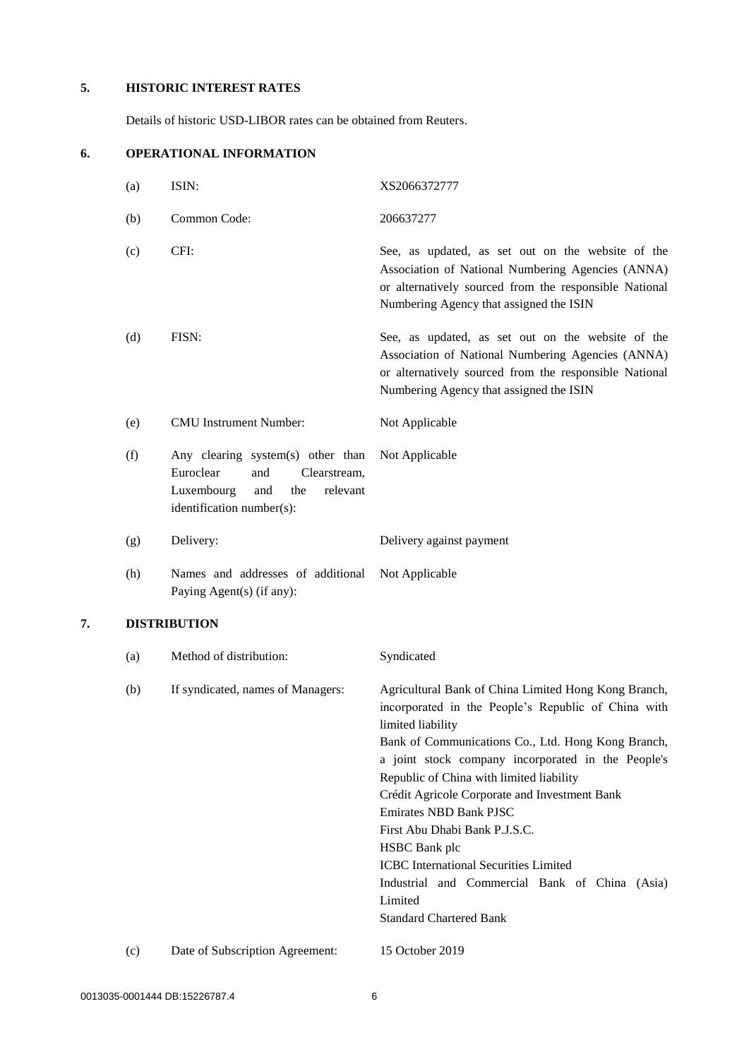# **5. HISTORIC INTEREST RATES**

Details of historic USD-LIBOR rates can be obtained from Reuters.

# **6. OPERATIONAL INFORMATION**

|    | (a) | ISIN:                                                                                                                                      | XS2066372777                                                                                                                                                                                                                                                                                                                                                                                                                                                                                                                                                                       |
|----|-----|--------------------------------------------------------------------------------------------------------------------------------------------|------------------------------------------------------------------------------------------------------------------------------------------------------------------------------------------------------------------------------------------------------------------------------------------------------------------------------------------------------------------------------------------------------------------------------------------------------------------------------------------------------------------------------------------------------------------------------------|
|    | (b) | Common Code:                                                                                                                               | 206637277                                                                                                                                                                                                                                                                                                                                                                                                                                                                                                                                                                          |
|    | (c) | CFI:                                                                                                                                       | See, as updated, as set out on the website of the<br>Association of National Numbering Agencies (ANNA)<br>or alternatively sourced from the responsible National<br>Numbering Agency that assigned the ISIN                                                                                                                                                                                                                                                                                                                                                                        |
|    | (d) | FISN:                                                                                                                                      | See, as updated, as set out on the website of the<br>Association of National Numbering Agencies (ANNA)<br>or alternatively sourced from the responsible National<br>Numbering Agency that assigned the ISIN                                                                                                                                                                                                                                                                                                                                                                        |
|    | (e) | <b>CMU</b> Instrument Number:                                                                                                              | Not Applicable                                                                                                                                                                                                                                                                                                                                                                                                                                                                                                                                                                     |
|    | (f) | Any clearing system(s) other than<br>Euroclear<br>and<br>Clearstream,<br>Luxembourg<br>the<br>relevant<br>and<br>identification number(s): | Not Applicable                                                                                                                                                                                                                                                                                                                                                                                                                                                                                                                                                                     |
|    | (g) | Delivery:                                                                                                                                  | Delivery against payment                                                                                                                                                                                                                                                                                                                                                                                                                                                                                                                                                           |
|    | (h) | Names and addresses of additional<br>Paying Agent(s) (if any):                                                                             | Not Applicable                                                                                                                                                                                                                                                                                                                                                                                                                                                                                                                                                                     |
| 7. |     | <b>DISTRIBUTION</b>                                                                                                                        |                                                                                                                                                                                                                                                                                                                                                                                                                                                                                                                                                                                    |
|    | (a) | Method of distribution:                                                                                                                    | Syndicated                                                                                                                                                                                                                                                                                                                                                                                                                                                                                                                                                                         |
|    | (b) | If syndicated, names of Managers:                                                                                                          | Agricultural Bank of China Limited Hong Kong Branch,<br>incorporated in the People's Republic of China with<br>limited liability<br>Bank of Communications Co., Ltd. Hong Kong Branch,<br>a joint stock company incorporated in the People's<br>Republic of China with limited liability<br>Crédit Agricole Corporate and Investment Bank<br><b>Emirates NBD Bank PJSC</b><br>First Abu Dhabi Bank P.J.S.C.<br><b>HSBC</b> Bank plc<br><b>ICBC</b> International Securities Limited<br>Industrial and Commercial Bank of China (Asia)<br>Limited<br><b>Standard Chartered Bank</b> |
|    | (c) | Date of Subscription Agreement:                                                                                                            | 15 October 2019                                                                                                                                                                                                                                                                                                                                                                                                                                                                                                                                                                    |